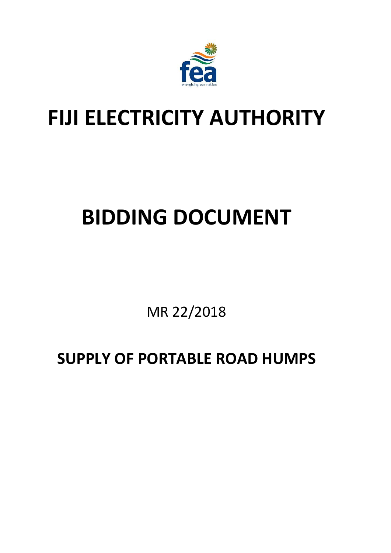

## **FIJI ELECTRICITY AUTHORITY**

# **BIDDING DOCUMENT**

MR 22/2018

**SUPPLY OF PORTABLE ROAD HUMPS**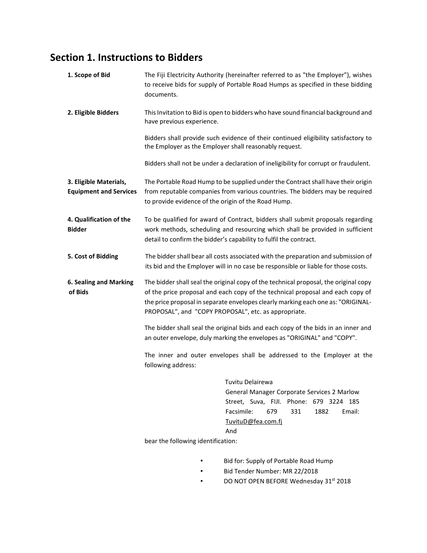## **Section 1. Instructions to Bidders**

| 1. Scope of Bid                                         | The Fiji Electricity Authority (hereinafter referred to as "the Employer"), wishes<br>to receive bids for supply of Portable Road Humps as specified in these bidding<br>documents.                                                                                                                                |  |  |
|---------------------------------------------------------|--------------------------------------------------------------------------------------------------------------------------------------------------------------------------------------------------------------------------------------------------------------------------------------------------------------------|--|--|
| 2. Eligible Bidders                                     | This Invitation to Bid is open to bidders who have sound financial background and<br>have previous experience.                                                                                                                                                                                                     |  |  |
|                                                         | Bidders shall provide such evidence of their continued eligibility satisfactory to<br>the Employer as the Employer shall reasonably request.                                                                                                                                                                       |  |  |
|                                                         | Bidders shall not be under a declaration of ineligibility for corrupt or fraudulent.                                                                                                                                                                                                                               |  |  |
| 3. Eligible Materials,<br><b>Equipment and Services</b> | The Portable Road Hump to be supplied under the Contract shall have their origin<br>from reputable companies from various countries. The bidders may be required<br>to provide evidence of the origin of the Road Hump.                                                                                            |  |  |
| 4. Qualification of the<br><b>Bidder</b>                | To be qualified for award of Contract, bidders shall submit proposals regarding<br>work methods, scheduling and resourcing which shall be provided in sufficient<br>detail to confirm the bidder's capability to fulfil the contract.                                                                              |  |  |
| 5. Cost of Bidding                                      | The bidder shall bear all costs associated with the preparation and submission of<br>its bid and the Employer will in no case be responsible or liable for those costs.                                                                                                                                            |  |  |
| 6. Sealing and Marking<br>of Bids                       | The bidder shall seal the original copy of the technical proposal, the original copy<br>of the price proposal and each copy of the technical proposal and each copy of<br>the price proposal in separate envelopes clearly marking each one as: "ORIGINAL-<br>PROPOSAL", and "COPY PROPOSAL", etc. as appropriate. |  |  |
|                                                         | The bidder shall seal the original bids and each copy of the bids in an inner and<br>an outer envelope, duly marking the envelopes as "ORIGINAL" and "COPY".<br>The inner and outer envelopes shall be addressed to the Employer at the<br>following address:                                                      |  |  |
|                                                         |                                                                                                                                                                                                                                                                                                                    |  |  |
|                                                         | Tuvitu Delairewa<br>General Manager Corporate Services 2 Marlow<br>Street, Suva, FIJI. Phone: 679 3224 185<br>Facsimile:<br>679<br>331<br>1882<br>Email:<br>TuvituD@fea.com.fj<br>And                                                                                                                              |  |  |
|                                                         | bear the following identification:                                                                                                                                                                                                                                                                                 |  |  |
|                                                         | Bid for: Supply of Portable Road Hump<br>Bid Tender Number: MR 22/2018                                                                                                                                                                                                                                             |  |  |
|                                                         | DO NOT OPEN BEFORE Wednesday 31st 2018                                                                                                                                                                                                                                                                             |  |  |
|                                                         |                                                                                                                                                                                                                                                                                                                    |  |  |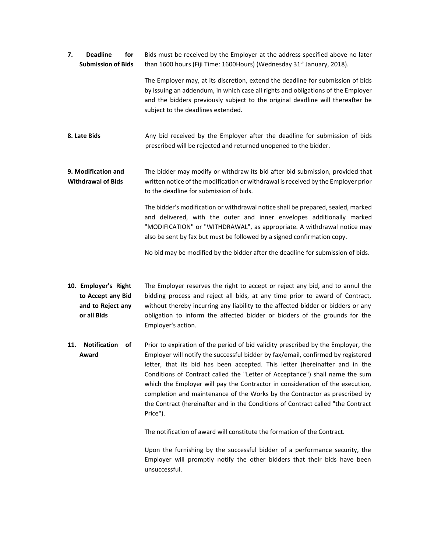**7. Deadline for Submission of Bids** Bids must be received by the Employer at the address specified above no later than 1600 hours (Fiji Time: 1600Hours) (Wednesday 31<sup>st</sup> January, 2018).

The Employer may, at its discretion, extend the deadline for submission of bids by issuing an addendum, in which case all rights and obligations of the Employer and the bidders previously subject to the original deadline will thereafter be subject to the deadlines extended.

- **8. Late Bids** Any bid received by the Employer after the deadline for submission of bids prescribed will be rejected and returned unopened to the bidder.
- **9. Modification and Withdrawal of Bids** The bidder may modify or withdraw its bid after bid submission, provided that written notice of the modification or withdrawal is received by the Employer prior to the deadline for submission of bids.

The bidder's modification or withdrawal notice shall be prepared, sealed, marked and delivered, with the outer and inner envelopes additionally marked "MODIFICATION" or "WITHDRAWAL", as appropriate. A withdrawal notice may also be sent by fax but must be followed by a signed confirmation copy.

No bid may be modified by the bidder after the deadline for submission of bids.

- **10. Employer's Right to Accept any Bid and to Reject any or all Bids** The Employer reserves the right to accept or reject any bid, and to annul the bidding process and reject all bids, at any time prior to award of Contract, without thereby incurring any liability to the affected bidder or bidders or any obligation to inform the affected bidder or bidders of the grounds for the Employer's action.
- **11. Notification of Award** Prior to expiration of the period of bid validity prescribed by the Employer, the Employer will notify the successful bidder by fax/email, confirmed by registered letter, that its bid has been accepted. This letter (hereinafter and in the Conditions of Contract called the "Letter of Acceptance") shall name the sum which the Employer will pay the Contractor in consideration of the execution, completion and maintenance of the Works by the Contractor as prescribed by the Contract (hereinafter and in the Conditions of Contract called "the Contract Price").

The notification of award will constitute the formation of the Contract.

Upon the furnishing by the successful bidder of a performance security, the Employer will promptly notify the other bidders that their bids have been unsuccessful.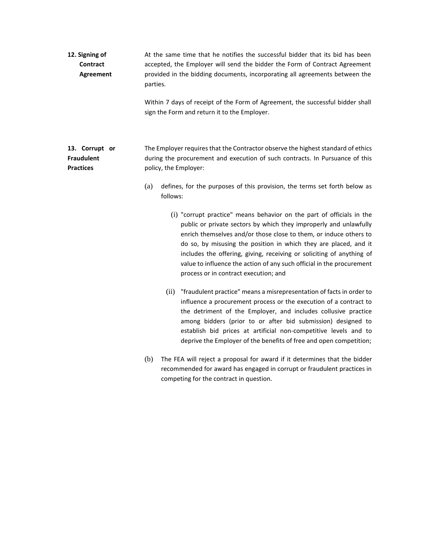| 12. Signing of<br>Contract<br>Agreement                 | At the same time that he notifies the successful bidder that its bid has been<br>accepted, the Employer will send the bidder the Form of Contract Agreement<br>provided in the bidding documents, incorporating all agreements between the<br>parties.                                                                                                                                                                                                                         |  |  |
|---------------------------------------------------------|--------------------------------------------------------------------------------------------------------------------------------------------------------------------------------------------------------------------------------------------------------------------------------------------------------------------------------------------------------------------------------------------------------------------------------------------------------------------------------|--|--|
|                                                         | Within 7 days of receipt of the Form of Agreement, the successful bidder shall<br>sign the Form and return it to the Employer.                                                                                                                                                                                                                                                                                                                                                 |  |  |
| 13. Corrupt or<br><b>Fraudulent</b><br><b>Practices</b> | The Employer requires that the Contractor observe the highest standard of ethics<br>during the procurement and execution of such contracts. In Pursuance of this<br>policy, the Employer:                                                                                                                                                                                                                                                                                      |  |  |
|                                                         | (a)<br>defines, for the purposes of this provision, the terms set forth below as<br>follows:                                                                                                                                                                                                                                                                                                                                                                                   |  |  |
|                                                         | (i) "corrupt practice" means behavior on the part of officials in the<br>public or private sectors by which they improperly and unlawfully<br>enrich themselves and/or those close to them, or induce others to<br>do so, by misusing the position in which they are placed, and it<br>includes the offering, giving, receiving or soliciting of anything of<br>value to influence the action of any such official in the procurement<br>process or in contract execution; and |  |  |
|                                                         | "fraudulent practice" means a misrepresentation of facts in order to<br>(ii)<br>influence a procurement process or the execution of a contract to<br>the detriment of the Employer, and includes collusive practice<br>among bidders (prior to or after bid submission) designed to<br>establish bid prices at artificial non-competitive levels and to<br>deprive the Employer of the benefits of free and open competition;                                                  |  |  |
|                                                         | The FEA will reject a proposal for award if it determines that the bidder<br>(b)<br>recommended for award has engaged in corrupt or fraudulent practices in                                                                                                                                                                                                                                                                                                                    |  |  |

competing for the contract in question.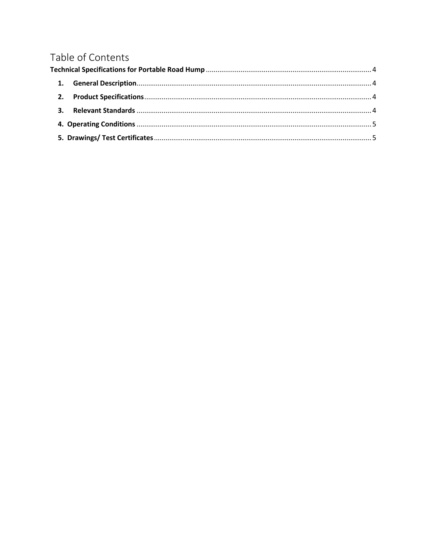## Table of Contents

| 1. |  |
|----|--|
|    |  |
|    |  |
|    |  |
|    |  |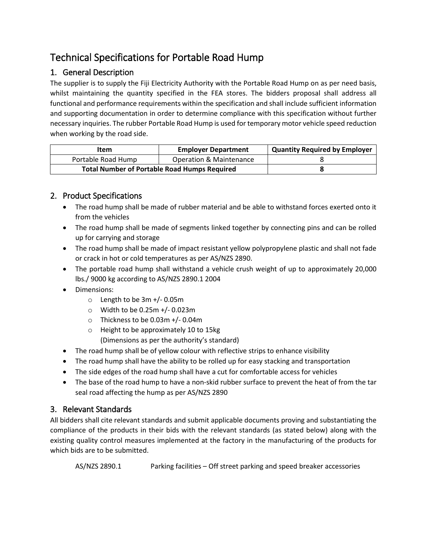### <span id="page-5-0"></span>Technical Specifications for Portable Road Hump

#### <span id="page-5-1"></span>1. General Description

The supplier is to supply the Fiji Electricity Authority with the Portable Road Hump on as per need basis, whilst maintaining the quantity specified in the FEA stores. The bidders proposal shall address all functional and performance requirements within the specification and shall include sufficient information and supporting documentation in order to determine compliance with this specification without further necessary inquiries. The rubber Portable Road Hump is used for temporary motor vehicle speed reduction when working by the road side.

| Item                                                | <b>Employer Department</b>         | <b>Quantity Required by Employer</b> |
|-----------------------------------------------------|------------------------------------|--------------------------------------|
| Portable Road Hump                                  | <b>Operation &amp; Maintenance</b> |                                      |
| <b>Total Number of Portable Road Humps Required</b> |                                    |                                      |

#### <span id="page-5-2"></span>2. Product Specifications

- The road hump shall be made of rubber material and be able to withstand forces exerted onto it from the vehicles
- The road hump shall be made of segments linked together by connecting pins and can be rolled up for carrying and storage
- The road hump shall be made of impact resistant yellow polypropylene plastic and shall not fade or crack in hot or cold temperatures as per AS/NZS 2890.
- The portable road hump shall withstand a vehicle crush weight of up to approximately 20,000 lbs./ 9000 kg according to AS/NZS 2890.1 2004
- Dimensions:
	- o Length to be 3m +/- 0.05m
	- o Width to be 0.25m +/- 0.023m
	- o Thickness to be 0.03m +/- 0.04m
	- o Height to be approximately 10 to 15kg (Dimensions as per the authority's standard)
- The road hump shall be of yellow colour with reflective strips to enhance visibility
- The road hump shall have the ability to be rolled up for easy stacking and transportation
- The side edges of the road hump shall have a cut for comfortable access for vehicles
- The base of the road hump to have a non-skid rubber surface to prevent the heat of from the tar seal road affecting the hump as per AS/NZS 2890

#### <span id="page-5-3"></span>3. Relevant Standards

All bidders shall cite relevant standards and submit applicable documents proving and substantiating the compliance of the products in their bids with the relevant standards (as stated below) along with the existing quality control measures implemented at the factory in the manufacturing of the products for which bids are to be submitted.

AS/NZS 2890.1 Parking facilities – Off street parking and speed breaker accessories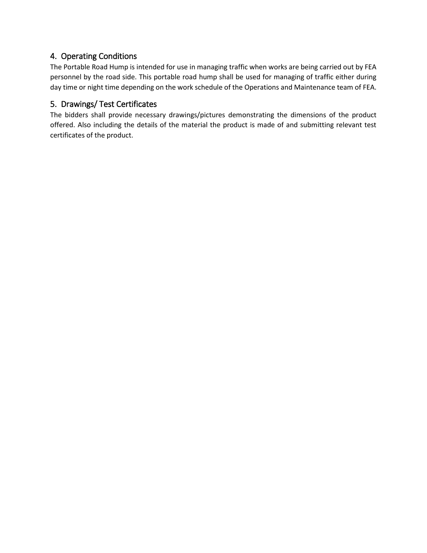#### <span id="page-6-0"></span>4. Operating Conditions

The Portable Road Hump is intended for use in managing traffic when works are being carried out by FEA personnel by the road side. This portable road hump shall be used for managing of traffic either during day time or night time depending on the work schedule of the Operations and Maintenance team of FEA.

#### <span id="page-6-1"></span>5. Drawings/ Test Certificates

The bidders shall provide necessary drawings/pictures demonstrating the dimensions of the product offered. Also including the details of the material the product is made of and submitting relevant test certificates of the product.